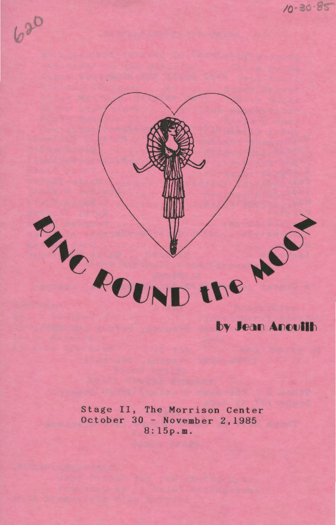

Stage II, The Morrison Center October 30 - November 2,1985 8:15p.m.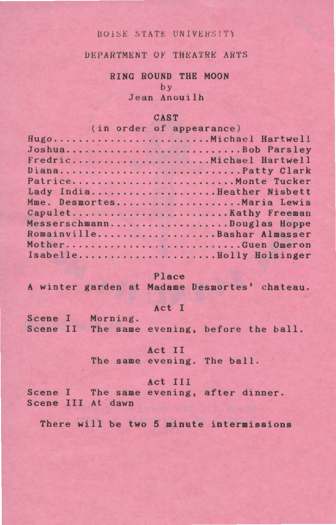### BOISE STATE UNIVERSITY

DEPARTMENT OF THEATRE ARTS

# RING ROUND THE MOON

by

Jean Anouilh

#### CAST

|  | (in order of appearance)   |
|--|----------------------------|
|  | HugoMichael Hartwell       |
|  | JoshuaBob Parsley          |
|  | FredricMichael Hartwell    |
|  | DianaPatty Clark           |
|  | PatriceMonte Tucker        |
|  | Lady IndiaHeather Nisbett  |
|  | Mme. DesmortesMaria Lewis  |
|  | Capulet Kathy Freeman      |
|  | MesserschmannDouglas Hoppe |
|  | RomainvilleBashar Almasser |
|  | MotherGuen Omeron          |
|  | IsabelleBolly Holsinger    |
|  |                            |

#### Place

A winter garden at Madame Desmortes' chateau.

# Act I

|  | Scene I Morning.                            |  |  |
|--|---------------------------------------------|--|--|
|  | Scene II The same evening, before the ball. |  |  |

#### Act II

The same evening. The ball.

# Act III

Scene I The same evening, after dinner. Scene III At dawn

There will be two 5 minute intermissions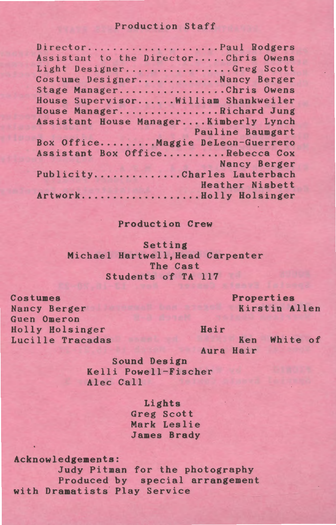# Production Staff

| DirectorPaul Rodgers                  |
|---------------------------------------|
| Assistant to the DirectorChris Owens  |
| Light DesignerGreg Scott              |
| Costume DesignerNancy Berger          |
| Stage ManagerChris Owens              |
| House Supervisor William Shankweiler  |
| House ManagerRichard Jung             |
| Assistant House ManagerKimberly Lynch |
| <b>Pauline Baumgart</b>               |
| Box OfficeMaggie DeLeon-Guerrero      |
| Assistant Box OfficeRebecca Cox       |
| <b>Nancy Berger</b>                   |
| PublicityCharles Lauterbach           |
| Heather Nisbett                       |
| ArtworkBolly Holsinger                |

## Production Crew

Setting Michael Hartwell,Head Carpenter The Cast Students of TA 117

> Properties Kirstin Allen

Costumes Nancy Berger Guen Omeron Holly Holsinger Lucille Tracadas

Hair

Ken White of Aura Hair

Sound Design Kelli Powell-Fischer Alec Call

> Lights Greg Scott Mark Leslie James Brady

Acknowledgements: Judy Pitman for the photography Produced by special arrangement with Dramatists Play Service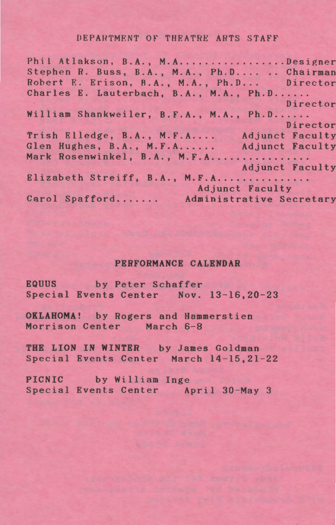#### DEPARTMENT OF THEATRE ARTS STAFF

Phil Atlakson, B.A., M.A.................Designer Stephen R. Buss, B.A., M.A., Ph.D.... .. Chairman<br>Robert E. Erison, B.A., M.A., Ph.D... Director Robert E. Erison, B.A., M.A., Ph.D... Charles E. Lauterbach, B.A., M.A., Ph.D...... Director William Shankweiler, B.F.A., M.A., Ph.D...... Director Trish Elledge, B.A., M.F.A.... Adjunct Faculty<br>Glen Hughes, B.A., M.F.A...... Adjunct Faculty Glen Hughes, B.A., M.F.A...... Mark Rosenwinkel, B.A., M.F.A................ Adjunct Faculty Elizabeth Streiff, B.A., M.F.A............... Adjunct Faculty<br>Carol Spafford....... Administrative Secretary Adjunct Faculty

#### PERFORMANCE CALENDAR

EQUUS by Peter Schaffer Special Events Center Nov. 13-16,20-23

OKLAHOMA! by Rogers and Hammerstien Morrison Center March 6-8

THE LION IN WINTER by James Goldman Special Events Center March 14-15, 21-22

PICNIC by William Inge Special Events Center April 30-May 3